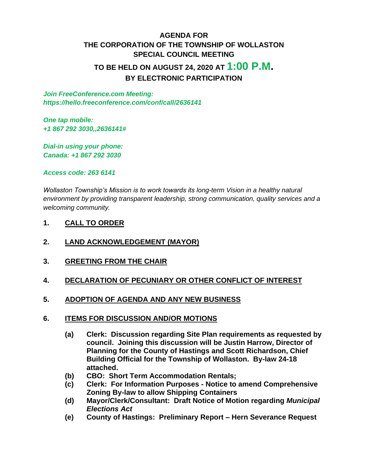## **AGENDA FOR THE CORPORATION OF THE TOWNSHIP OF WOLLASTON SPECIAL COUNCIL MEETING TO BE HELD ON AUGUST 24, 2020 AT 1:00 P.M. BY ELECTRONIC PARTICIPATION**

*Join FreeConference.com Meeting: https://hello.freeconference.com/conf/call/2636141*

*One tap mobile: +1 867 292 3030,,2636141#*

*Dial-in using your phone: Canada: +1 867 292 3030* 

*Access code: 263 6141*

*Wollaston Township's Mission is to work towards its long-term Vision in a healthy natural environment by providing transparent leadership, strong communication, quality services and a welcoming community.*

- **1. CALL TO ORDER**
- **2. LAND ACKNOWLEDGEMENT (MAYOR)**
- **3. GREETING FROM THE CHAIR**
- **4. DECLARATION OF PECUNIARY OR OTHER CONFLICT OF INTEREST**
- **5. ADOPTION OF AGENDA AND ANY NEW BUSINESS**
- **6. ITEMS FOR DISCUSSION AND/OR MOTIONS**
	- **(a) Clerk: Discussion regarding Site Plan requirements as requested by council. Joining this discussion will be Justin Harrow, Director of Planning for the County of Hastings and Scott Richardson, Chief Building Official for the Township of Wollaston. By-law 24-18 attached.**
	- **(b) CBO: Short Term Accommodation Rentals;**
	- **(c) Clerk: For Information Purposes - Notice to amend Comprehensive Zoning By-law to allow Shipping Containers**
	- **(d) Mayor/Clerk/Consultant: Draft Notice of Motion regarding** *Municipal Elections Act*
	- **(e) County of Hastings: Preliminary Report – Hern Severance Request**